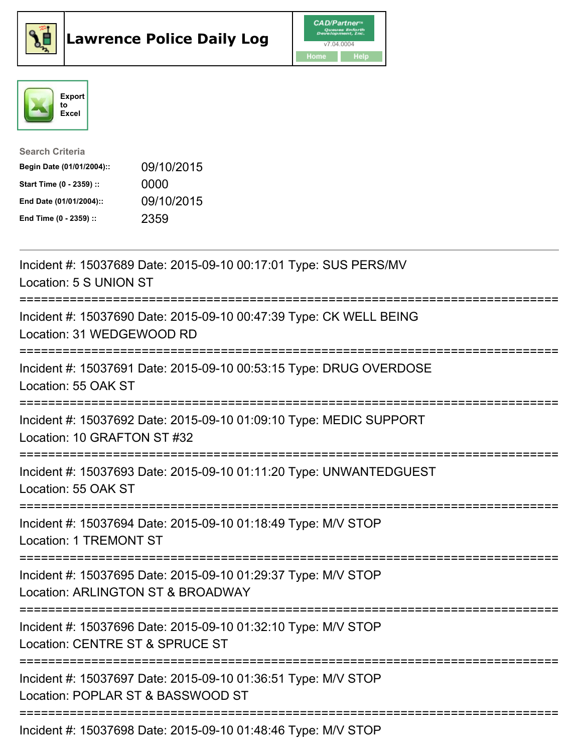





| <b>Search Criteria</b>    |            |
|---------------------------|------------|
| Begin Date (01/01/2004):: | 09/10/2015 |
| Start Time (0 - 2359) ::  | 0000       |
| End Date (01/01/2004)::   | 09/10/2015 |
| End Time (0 - 2359) ::    | 2359       |

| Incident #: 15037689 Date: 2015-09-10 00:17:01 Type: SUS PERS/MV<br>Location: 5 S UNION ST                               |
|--------------------------------------------------------------------------------------------------------------------------|
| Incident #: 15037690 Date: 2015-09-10 00:47:39 Type: CK WELL BEING<br>Location: 31 WEDGEWOOD RD                          |
| Incident #: 15037691 Date: 2015-09-10 00:53:15 Type: DRUG OVERDOSE<br>Location: 55 OAK ST                                |
| Incident #: 15037692 Date: 2015-09-10 01:09:10 Type: MEDIC SUPPORT<br>Location: 10 GRAFTON ST #32<br>.-------------      |
| Incident #: 15037693 Date: 2015-09-10 01:11:20 Type: UNWANTEDGUEST<br>Location: 55 OAK ST<br>--------------------------- |
| Incident #: 15037694 Date: 2015-09-10 01:18:49 Type: M/V STOP<br><b>Location: 1 TREMONT ST</b>                           |
| Incident #: 15037695 Date: 2015-09-10 01:29:37 Type: M/V STOP<br>Location: ARLINGTON ST & BROADWAY                       |
| Incident #: 15037696 Date: 2015-09-10 01:32:10 Type: M/V STOP<br>Location: CENTRE ST & SPRUCE ST                         |
| Incident #: 15037697 Date: 2015-09-10 01:36:51 Type: M/V STOP<br>Location: POPLAR ST & BASSWOOD ST                       |
| Incident #: 15037698 Date: 2015-09-10 01:48:46 Type: M/V STOP                                                            |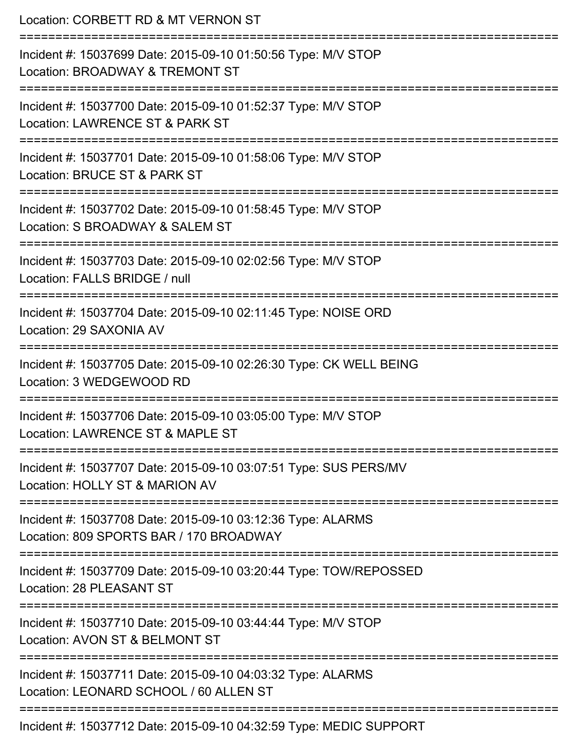| Location: CORBETT RD & MT VERNON ST<br>=========================<br>-------------------------------    |
|--------------------------------------------------------------------------------------------------------|
| Incident #: 15037699 Date: 2015-09-10 01:50:56 Type: M/V STOP<br>Location: BROADWAY & TREMONT ST       |
| Incident #: 15037700 Date: 2015-09-10 01:52:37 Type: M/V STOP<br>Location: LAWRENCE ST & PARK ST       |
| Incident #: 15037701 Date: 2015-09-10 01:58:06 Type: M/V STOP<br>Location: BRUCE ST & PARK ST          |
| Incident #: 15037702 Date: 2015-09-10 01:58:45 Type: M/V STOP<br>Location: S BROADWAY & SALEM ST       |
| Incident #: 15037703 Date: 2015-09-10 02:02:56 Type: M/V STOP<br>Location: FALLS BRIDGE / null         |
| Incident #: 15037704 Date: 2015-09-10 02:11:45 Type: NOISE ORD<br>Location: 29 SAXONIA AV              |
| Incident #: 15037705 Date: 2015-09-10 02:26:30 Type: CK WELL BEING<br>Location: 3 WEDGEWOOD RD         |
| Incident #: 15037706 Date: 2015-09-10 03:05:00 Type: M/V STOP<br>Location: LAWRENCE ST & MAPLE ST      |
| Incident #: 15037707 Date: 2015-09-10 03:07:51 Type: SUS PERS/MV<br>Location: HOLLY ST & MARION AV     |
| Incident #: 15037708 Date: 2015-09-10 03:12:36 Type: ALARMS<br>Location: 809 SPORTS BAR / 170 BROADWAY |
| Incident #: 15037709 Date: 2015-09-10 03:20:44 Type: TOW/REPOSSED<br>Location: 28 PLEASANT ST          |
| Incident #: 15037710 Date: 2015-09-10 03:44:44 Type: M/V STOP<br>Location: AVON ST & BELMONT ST        |
| Incident #: 15037711 Date: 2015-09-10 04:03:32 Type: ALARMS<br>Location: LEONARD SCHOOL / 60 ALLEN ST  |
| Incident #: 15037712 Date: 2015-09-10 04:32:59 Type: MEDIC SUPPORT                                     |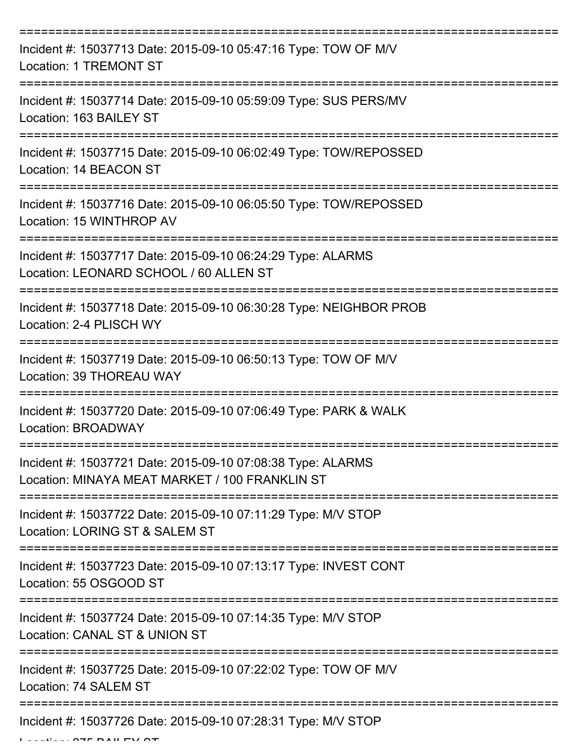| Incident #: 15037713 Date: 2015-09-10 05:47:16 Type: TOW OF M/V<br><b>Location: 1 TREMONT ST</b>              |
|---------------------------------------------------------------------------------------------------------------|
| Incident #: 15037714 Date: 2015-09-10 05:59:09 Type: SUS PERS/MV<br>Location: 163 BAILEY ST                   |
| Incident #: 15037715 Date: 2015-09-10 06:02:49 Type: TOW/REPOSSED<br>Location: 14 BEACON ST                   |
| Incident #: 15037716 Date: 2015-09-10 06:05:50 Type: TOW/REPOSSED<br>Location: 15 WINTHROP AV                 |
| Incident #: 15037717 Date: 2015-09-10 06:24:29 Type: ALARMS<br>Location: LEONARD SCHOOL / 60 ALLEN ST         |
| Incident #: 15037718 Date: 2015-09-10 06:30:28 Type: NEIGHBOR PROB<br>Location: 2-4 PLISCH WY                 |
| Incident #: 15037719 Date: 2015-09-10 06:50:13 Type: TOW OF M/V<br>Location: 39 THOREAU WAY                   |
| Incident #: 15037720 Date: 2015-09-10 07:06:49 Type: PARK & WALK<br>Location: BROADWAY                        |
| Incident #: 15037721 Date: 2015-09-10 07:08:38 Type: ALARMS<br>Location: MINAYA MEAT MARKET / 100 FRANKLIN ST |
| Incident #: 15037722 Date: 2015-09-10 07:11:29 Type: M/V STOP<br>Location: LORING ST & SALEM ST               |
| Incident #: 15037723 Date: 2015-09-10 07:13:17 Type: INVEST CONT<br>Location: 55 OSGOOD ST                    |
| Incident #: 15037724 Date: 2015-09-10 07:14:35 Type: M/V STOP<br>Location: CANAL ST & UNION ST                |
| Incident #: 15037725 Date: 2015-09-10 07:22:02 Type: TOW OF M/V<br>Location: 74 SALEM ST                      |
| Incident #: 15037726 Date: 2015-09-10 07:28:31 Type: M/V STOP                                                 |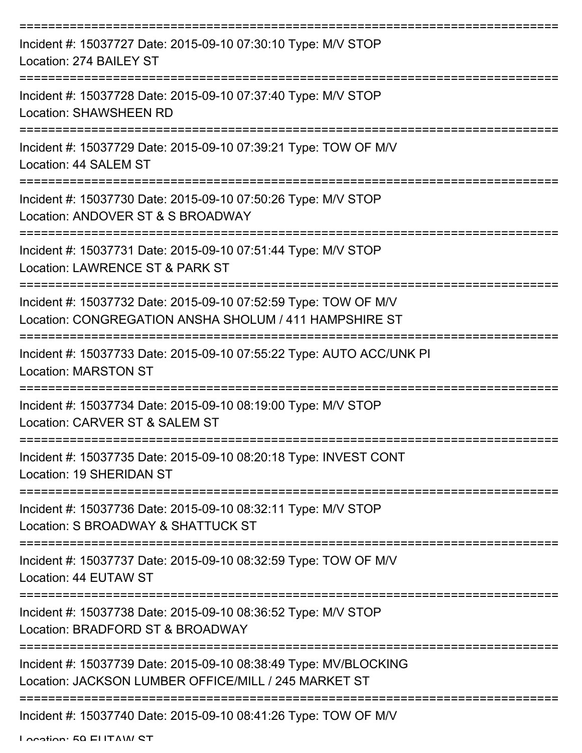| Incident #: 15037727 Date: 2015-09-10 07:30:10 Type: M/V STOP<br>Location: 274 BAILEY ST                                  |
|---------------------------------------------------------------------------------------------------------------------------|
| Incident #: 15037728 Date: 2015-09-10 07:37:40 Type: M/V STOP<br><b>Location: SHAWSHEEN RD</b>                            |
| Incident #: 15037729 Date: 2015-09-10 07:39:21 Type: TOW OF M/V<br>Location: 44 SALEM ST                                  |
| Incident #: 15037730 Date: 2015-09-10 07:50:26 Type: M/V STOP<br>Location: ANDOVER ST & S BROADWAY                        |
| Incident #: 15037731 Date: 2015-09-10 07:51:44 Type: M/V STOP<br>Location: LAWRENCE ST & PARK ST                          |
| Incident #: 15037732 Date: 2015-09-10 07:52:59 Type: TOW OF M/V<br>Location: CONGREGATION ANSHA SHOLUM / 411 HAMPSHIRE ST |
| Incident #: 15037733 Date: 2015-09-10 07:55:22 Type: AUTO ACC/UNK PI<br><b>Location: MARSTON ST</b>                       |
| Incident #: 15037734 Date: 2015-09-10 08:19:00 Type: M/V STOP<br>Location: CARVER ST & SALEM ST                           |
| Incident #: 15037735 Date: 2015-09-10 08:20:18 Type: INVEST CONT<br>Location: 19 SHERIDAN ST                              |
| Incident #: 15037736 Date: 2015-09-10 08:32:11 Type: M/V STOP<br>Location: S BROADWAY & SHATTUCK ST                       |
| Incident #: 15037737 Date: 2015-09-10 08:32:59 Type: TOW OF M/V<br>Location: 44 EUTAW ST                                  |
| Incident #: 15037738 Date: 2015-09-10 08:36:52 Type: M/V STOP<br>Location: BRADFORD ST & BROADWAY                         |
| Incident #: 15037739 Date: 2015-09-10 08:38:49 Type: MV/BLOCKING<br>Location: JACKSON LUMBER OFFICE/MILL / 245 MARKET ST  |
| Incident #: 15037740 Date: 2015-09-10 08:41:26 Type: TOW OF M/V                                                           |

Location: 50 ELITAIN ST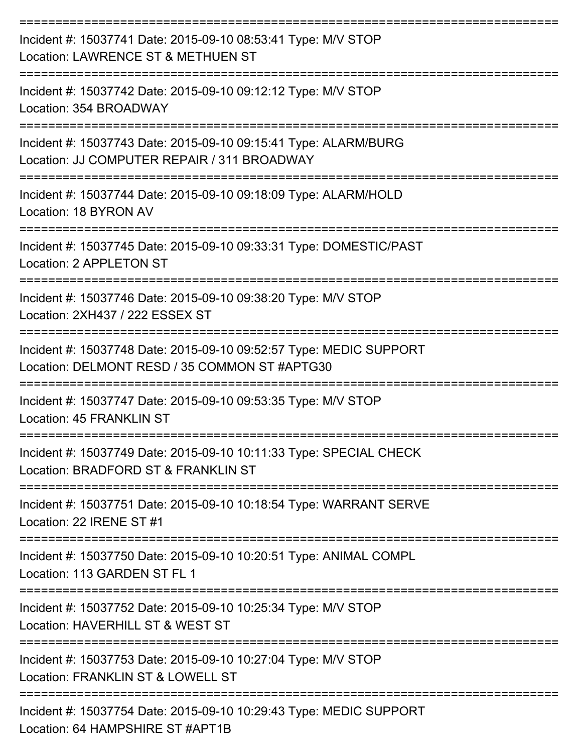| Incident #: 15037741 Date: 2015-09-10 08:53:41 Type: M/V STOP<br>Location: LAWRENCE ST & METHUEN ST                 |
|---------------------------------------------------------------------------------------------------------------------|
| Incident #: 15037742 Date: 2015-09-10 09:12:12 Type: M/V STOP<br>Location: 354 BROADWAY                             |
| Incident #: 15037743 Date: 2015-09-10 09:15:41 Type: ALARM/BURG<br>Location: JJ COMPUTER REPAIR / 311 BROADWAY      |
| Incident #: 15037744 Date: 2015-09-10 09:18:09 Type: ALARM/HOLD<br>Location: 18 BYRON AV                            |
| Incident #: 15037745 Date: 2015-09-10 09:33:31 Type: DOMESTIC/PAST<br>Location: 2 APPLETON ST                       |
| Incident #: 15037746 Date: 2015-09-10 09:38:20 Type: M/V STOP<br>Location: 2XH437 / 222 ESSEX ST                    |
| Incident #: 15037748 Date: 2015-09-10 09:52:57 Type: MEDIC SUPPORT<br>Location: DELMONT RESD / 35 COMMON ST #APTG30 |
| Incident #: 15037747 Date: 2015-09-10 09:53:35 Type: M/V STOP<br>Location: 45 FRANKLIN ST                           |
| Incident #: 15037749 Date: 2015-09-10 10:11:33 Type: SPECIAL CHECK<br>Location: BRADFORD ST & FRANKLIN ST           |
| Incident #: 15037751 Date: 2015-09-10 10:18:54 Type: WARRANT SERVE<br>Location: 22 IRENE ST #1                      |
| Incident #: 15037750 Date: 2015-09-10 10:20:51 Type: ANIMAL COMPL<br>Location: 113 GARDEN ST FL 1                   |
| Incident #: 15037752 Date: 2015-09-10 10:25:34 Type: M/V STOP<br>Location: HAVERHILL ST & WEST ST                   |
| Incident #: 15037753 Date: 2015-09-10 10:27:04 Type: M/V STOP<br>Location: FRANKLIN ST & LOWELL ST                  |
| Incident #: 15037754 Date: 2015-09-10 10:29:43 Type: MEDIC SUPPORT<br>Location: 64 HAMPSHIRE ST #APT1B              |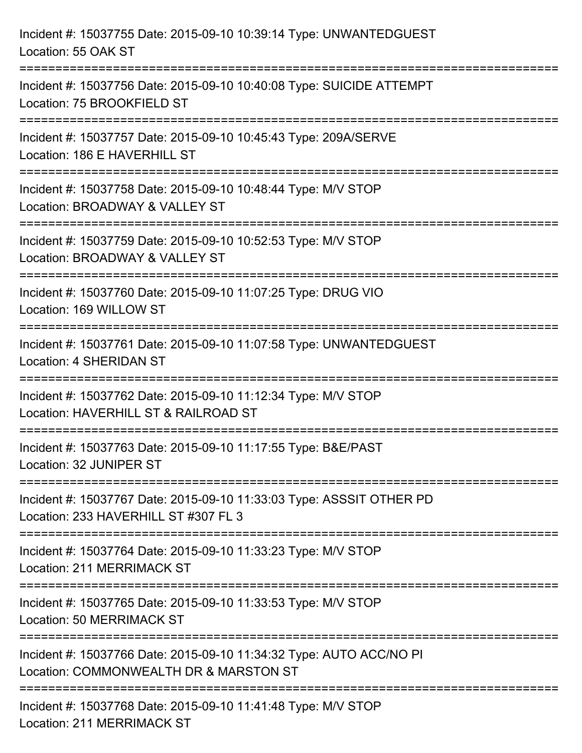| Incident #: 15037755 Date: 2015-09-10 10:39:14 Type: UNWANTEDGUEST<br>Location: 55 OAK ST                                      |
|--------------------------------------------------------------------------------------------------------------------------------|
| Incident #: 15037756 Date: 2015-09-10 10:40:08 Type: SUICIDE ATTEMPT<br>Location: 75 BROOKFIELD ST                             |
| Incident #: 15037757 Date: 2015-09-10 10:45:43 Type: 209A/SERVE<br>Location: 186 E HAVERHILL ST<br>=========================== |
| Incident #: 15037758 Date: 2015-09-10 10:48:44 Type: M/V STOP<br>Location: BROADWAY & VALLEY ST<br>=========================   |
| Incident #: 15037759 Date: 2015-09-10 10:52:53 Type: M/V STOP<br>Location: BROADWAY & VALLEY ST                                |
| Incident #: 15037760 Date: 2015-09-10 11:07:25 Type: DRUG VIO<br>Location: 169 WILLOW ST                                       |
| Incident #: 15037761 Date: 2015-09-10 11:07:58 Type: UNWANTEDGUEST<br><b>Location: 4 SHERIDAN ST</b>                           |
| Incident #: 15037762 Date: 2015-09-10 11:12:34 Type: M/V STOP<br>Location: HAVERHILL ST & RAILROAD ST                          |
| Incident #: 15037763 Date: 2015-09-10 11:17:55 Type: B&E/PAST<br>Location: 32 JUNIPER ST                                       |
| Incident #: 15037767 Date: 2015-09-10 11:33:03 Type: ASSSIT OTHER PD<br>Location: 233 HAVERHILL ST #307 FL 3                   |
| Incident #: 15037764 Date: 2015-09-10 11:33:23 Type: M/V STOP<br><b>Location: 211 MERRIMACK ST</b>                             |
| Incident #: 15037765 Date: 2015-09-10 11:33:53 Type: M/V STOP<br><b>Location: 50 MERRIMACK ST</b>                              |
| Incident #: 15037766 Date: 2015-09-10 11:34:32 Type: AUTO ACC/NO PI<br>Location: COMMONWEALTH DR & MARSTON ST                  |
| Incident #: 15037768 Date: 2015-09-10 11:41:48 Type: M/V STOP<br><b>Location: 211 MERRIMACK ST</b>                             |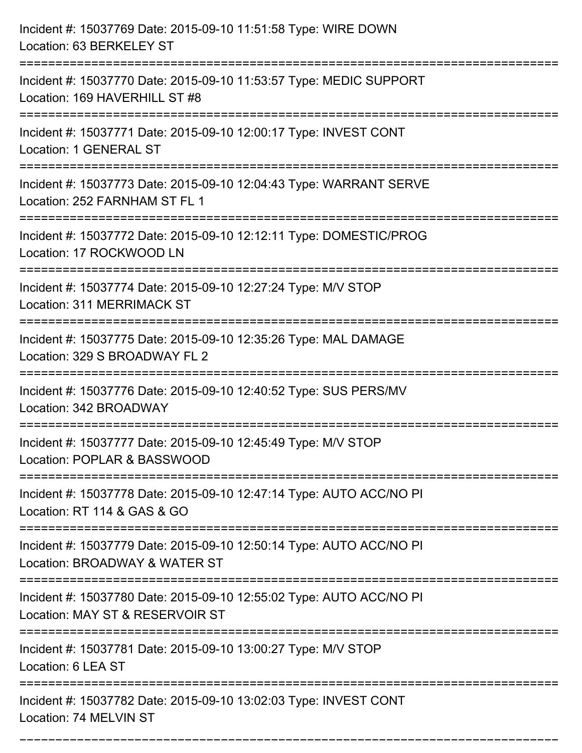| Incident #: 15037769 Date: 2015-09-10 11:51:58 Type: WIRE DOWN<br>Location: 63 BERKELEY ST                                                                |
|-----------------------------------------------------------------------------------------------------------------------------------------------------------|
| Incident #: 15037770 Date: 2015-09-10 11:53:57 Type: MEDIC SUPPORT<br>Location: 169 HAVERHILL ST #8                                                       |
| Incident #: 15037771 Date: 2015-09-10 12:00:17 Type: INVEST CONT<br>Location: 1 GENERAL ST                                                                |
| Incident #: 15037773 Date: 2015-09-10 12:04:43 Type: WARRANT SERVE<br>Location: 252 FARNHAM ST FL 1                                                       |
| Incident #: 15037772 Date: 2015-09-10 12:12:11 Type: DOMESTIC/PROG<br>Location: 17 ROCKWOOD LN<br>==================================<br>================= |
| Incident #: 15037774 Date: 2015-09-10 12:27:24 Type: M/V STOP<br><b>Location: 311 MERRIMACK ST</b>                                                        |
| Incident #: 15037775 Date: 2015-09-10 12:35:26 Type: MAL DAMAGE<br>Location: 329 S BROADWAY FL 2                                                          |
| Incident #: 15037776 Date: 2015-09-10 12:40:52 Type: SUS PERS/MV<br>Location: 342 BROADWAY                                                                |
| Incident #: 15037777 Date: 2015-09-10 12:45:49 Type: M/V STOP<br>Location: POPLAR & BASSWOOD                                                              |
| Incident #: 15037778 Date: 2015-09-10 12:47:14 Type: AUTO ACC/NO PI<br>Location: RT 114 & GAS & GO                                                        |
| Incident #: 15037779 Date: 2015-09-10 12:50:14 Type: AUTO ACC/NO PI<br>Location: BROADWAY & WATER ST                                                      |
| Incident #: 15037780 Date: 2015-09-10 12:55:02 Type: AUTO ACC/NO PI<br>Location: MAY ST & RESERVOIR ST                                                    |
| Incident #: 15037781 Date: 2015-09-10 13:00:27 Type: M/V STOP<br>Location: 6 LEA ST                                                                       |
| Incident #: 15037782 Date: 2015-09-10 13:02:03 Type: INVEST CONT<br>Location: 74 MELVIN ST                                                                |

===========================================================================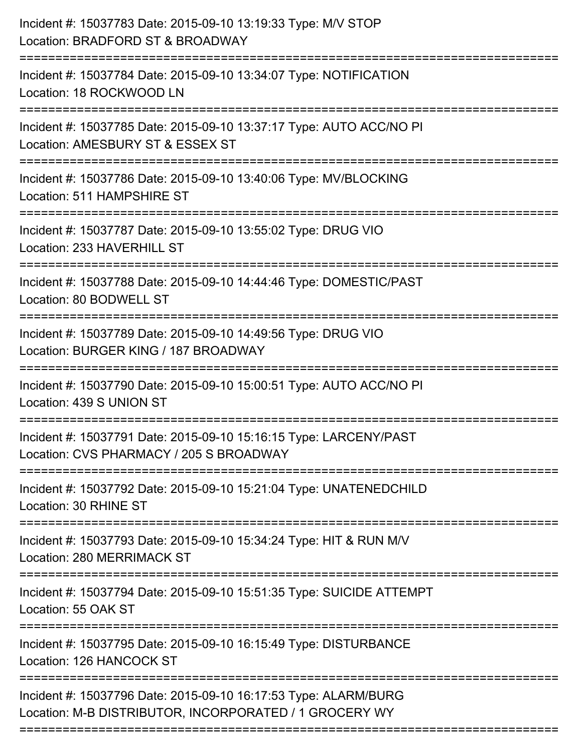| Incident #: 15037783 Date: 2015-09-10 13:19:33 Type: M/V STOP<br>Location: BRADFORD ST & BROADWAY<br>==============================  |
|--------------------------------------------------------------------------------------------------------------------------------------|
| Incident #: 15037784 Date: 2015-09-10 13:34:07 Type: NOTIFICATION<br>Location: 18 ROCKWOOD LN                                        |
| Incident #: 15037785 Date: 2015-09-10 13:37:17 Type: AUTO ACC/NO PI<br>Location: AMESBURY ST & ESSEX ST<br>====================      |
| Incident #: 15037786 Date: 2015-09-10 13:40:06 Type: MV/BLOCKING<br>Location: 511 HAMPSHIRE ST                                       |
| Incident #: 15037787 Date: 2015-09-10 13:55:02 Type: DRUG VIO<br>Location: 233 HAVERHILL ST                                          |
| Incident #: 15037788 Date: 2015-09-10 14:44:46 Type: DOMESTIC/PAST<br>Location: 80 BODWELL ST<br>:================================== |
| Incident #: 15037789 Date: 2015-09-10 14:49:56 Type: DRUG VIO<br>Location: BURGER KING / 187 BROADWAY                                |
| Incident #: 15037790 Date: 2015-09-10 15:00:51 Type: AUTO ACC/NO PI<br>Location: 439 S UNION ST                                      |
| Incident #: 15037791 Date: 2015-09-10 15:16:15 Type: LARCENY/PAST<br>Location: CVS PHARMACY / 205 S BROADWAY                         |
| Incident #: 15037792 Date: 2015-09-10 15:21:04 Type: UNATENEDCHILD<br>Location: 30 RHINE ST                                          |
| Incident #: 15037793 Date: 2015-09-10 15:34:24 Type: HIT & RUN M/V<br>Location: 280 MERRIMACK ST                                     |
| Incident #: 15037794 Date: 2015-09-10 15:51:35 Type: SUICIDE ATTEMPT<br>Location: 55 OAK ST                                          |
| Incident #: 15037795 Date: 2015-09-10 16:15:49 Type: DISTURBANCE<br>Location: 126 HANCOCK ST                                         |
| Incident #: 15037796 Date: 2015-09-10 16:17:53 Type: ALARM/BURG<br>Location: M-B DISTRIBUTOR, INCORPORATED / 1 GROCERY WY            |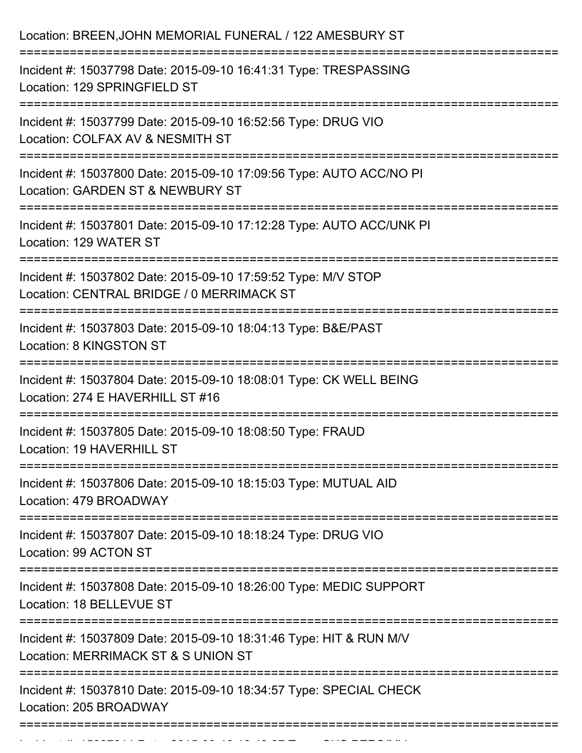| Location: BREEN, JOHN MEMORIAL FUNERAL / 122 AMESBURY ST                                                                                            |
|-----------------------------------------------------------------------------------------------------------------------------------------------------|
| Incident #: 15037798 Date: 2015-09-10 16:41:31 Type: TRESPASSING<br>Location: 129 SPRINGFIELD ST                                                    |
| Incident #: 15037799 Date: 2015-09-10 16:52:56 Type: DRUG VIO<br>Location: COLFAX AV & NESMITH ST                                                   |
| Incident #: 15037800 Date: 2015-09-10 17:09:56 Type: AUTO ACC/NO PI<br>Location: GARDEN ST & NEWBURY ST<br>:=============================           |
| Incident #: 15037801 Date: 2015-09-10 17:12:28 Type: AUTO ACC/UNK PI<br>Location: 129 WATER ST                                                      |
| Incident #: 15037802 Date: 2015-09-10 17:59:52 Type: M/V STOP<br>Location: CENTRAL BRIDGE / 0 MERRIMACK ST<br>===================================== |
| Incident #: 15037803 Date: 2015-09-10 18:04:13 Type: B&E/PAST<br>Location: 8 KINGSTON ST                                                            |
| Incident #: 15037804 Date: 2015-09-10 18:08:01 Type: CK WELL BEING<br>Location: 274 E HAVERHILL ST #16                                              |
| Incident #: 15037805 Date: 2015-09-10 18:08:50 Type: FRAUD<br>Location: 19 HAVERHILL ST<br>---------------------------                              |
| Incident #: 15037806 Date: 2015-09-10 18:15:03 Type: MUTUAL AID<br>Location: 479 BROADWAY                                                           |
| Incident #: 15037807 Date: 2015-09-10 18:18:24 Type: DRUG VIO<br>Location: 99 ACTON ST                                                              |
| Incident #: 15037808 Date: 2015-09-10 18:26:00 Type: MEDIC SUPPORT<br>Location: 18 BELLEVUE ST                                                      |
| Incident #: 15037809 Date: 2015-09-10 18:31:46 Type: HIT & RUN M/V<br>Location: MERRIMACK ST & S UNION ST                                           |
| Incident #: 15037810 Date: 2015-09-10 18:34:57 Type: SPECIAL CHECK<br>Location: 205 BROADWAY                                                        |
|                                                                                                                                                     |

Incident #: 15037811 Date: 2015 09 10 18:49:37 Type: SUS PERS/MV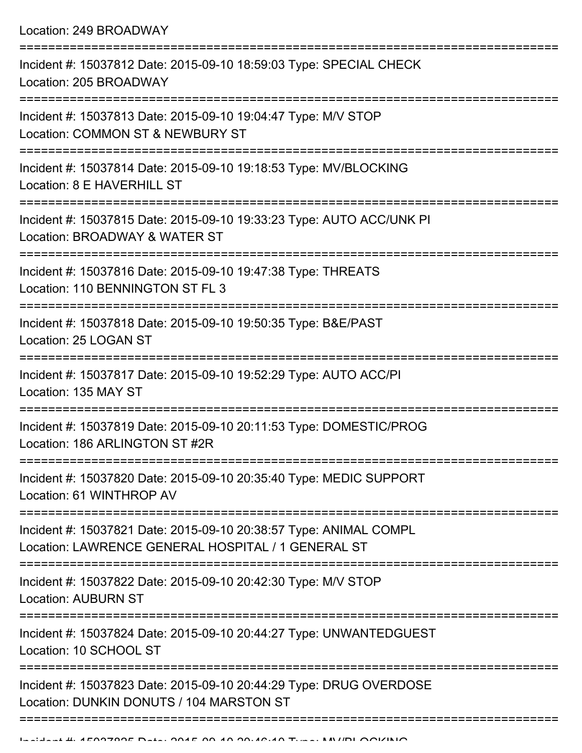| Incident #: 15037812 Date: 2015-09-10 18:59:03 Type: SPECIAL CHECK<br>Location: 205 BROADWAY                            |
|-------------------------------------------------------------------------------------------------------------------------|
| Incident #: 15037813 Date: 2015-09-10 19:04:47 Type: M/V STOP<br>Location: COMMON ST & NEWBURY ST                       |
| Incident #: 15037814 Date: 2015-09-10 19:18:53 Type: MV/BLOCKING<br>Location: 8 E HAVERHILL ST                          |
| Incident #: 15037815 Date: 2015-09-10 19:33:23 Type: AUTO ACC/UNK PI<br>Location: BROADWAY & WATER ST                   |
| Incident #: 15037816 Date: 2015-09-10 19:47:38 Type: THREATS<br>Location: 110 BENNINGTON ST FL 3                        |
| Incident #: 15037818 Date: 2015-09-10 19:50:35 Type: B&E/PAST<br>Location: 25 LOGAN ST                                  |
| Incident #: 15037817 Date: 2015-09-10 19:52:29 Type: AUTO ACC/PI<br>Location: 135 MAY ST                                |
| Incident #: 15037819 Date: 2015-09-10 20:11:53 Type: DOMESTIC/PROG<br>Location: 186 ARLINGTON ST #2R                    |
| Incident #: 15037820 Date: 2015-09-10 20:35:40 Type: MEDIC SUPPORT<br>Location: 61 WINTHROP AV                          |
| Incident #: 15037821 Date: 2015-09-10 20:38:57 Type: ANIMAL COMPL<br>Location: LAWRENCE GENERAL HOSPITAL / 1 GENERAL ST |
| Incident #: 15037822 Date: 2015-09-10 20:42:30 Type: M/V STOP<br><b>Location: AUBURN ST</b>                             |
| Incident #: 15037824 Date: 2015-09-10 20:44:27 Type: UNWANTEDGUEST<br>Location: 10 SCHOOL ST                            |
| Incident #: 15037823 Date: 2015-09-10 20:44:29 Type: DRUG OVERDOSE<br>Location: DUNKIN DONUTS / 104 MARSTON ST          |
|                                                                                                                         |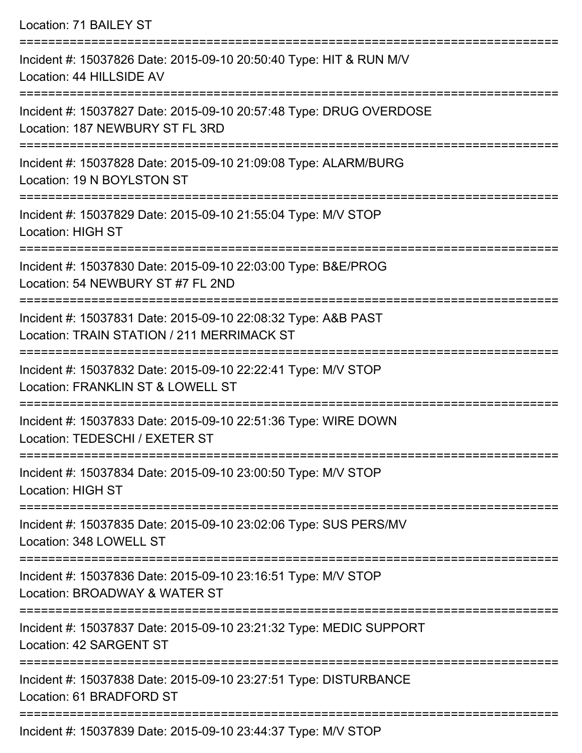| Incident #: 15037826 Date: 2015-09-10 20:50:40 Type: HIT & RUN M/V<br>Location: 44 HILLSIDE AV                                             |
|--------------------------------------------------------------------------------------------------------------------------------------------|
|                                                                                                                                            |
| Incident #: 15037827 Date: 2015-09-10 20:57:48 Type: DRUG OVERDOSE<br>Location: 187 NEWBURY ST FL 3RD                                      |
| Incident #: 15037828 Date: 2015-09-10 21:09:08 Type: ALARM/BURG<br>Location: 19 N BOYLSTON ST                                              |
| Incident #: 15037829 Date: 2015-09-10 21:55:04 Type: M/V STOP<br><b>Location: HIGH ST</b><br>=====================                         |
| Incident #: 15037830 Date: 2015-09-10 22:03:00 Type: B&E/PROG<br>Location: 54 NEWBURY ST #7 FL 2ND<br>:=================================== |
| Incident #: 15037831 Date: 2015-09-10 22:08:32 Type: A&B PAST<br>Location: TRAIN STATION / 211 MERRIMACK ST                                |
| Incident #: 15037832 Date: 2015-09-10 22:22:41 Type: M/V STOP<br>Location: FRANKLIN ST & LOWELL ST                                         |
| Incident #: 15037833 Date: 2015-09-10 22:51:36 Type: WIRE DOWN<br>Location: TEDESCHI / EXETER ST                                           |
| Incident #: 15037834 Date: 2015-09-10 23:00:50 Type: M/V STOP<br><b>Location: HIGH ST</b>                                                  |
| Incident #: 15037835 Date: 2015-09-10 23:02:06 Type: SUS PERS/MV<br>Location: 348 LOWELL ST                                                |
| Incident #: 15037836 Date: 2015-09-10 23:16:51 Type: M/V STOP<br>Location: BROADWAY & WATER ST                                             |
| Incident #: 15037837 Date: 2015-09-10 23:21:32 Type: MEDIC SUPPORT<br>Location: 42 SARGENT ST                                              |
| Incident #: 15037838 Date: 2015-09-10 23:27:51 Type: DISTURBANCE<br>Location: 61 BRADFORD ST                                               |

Incident #: 15037839 Date: 2015-09-10 23:44:37 Type: M/V STOP